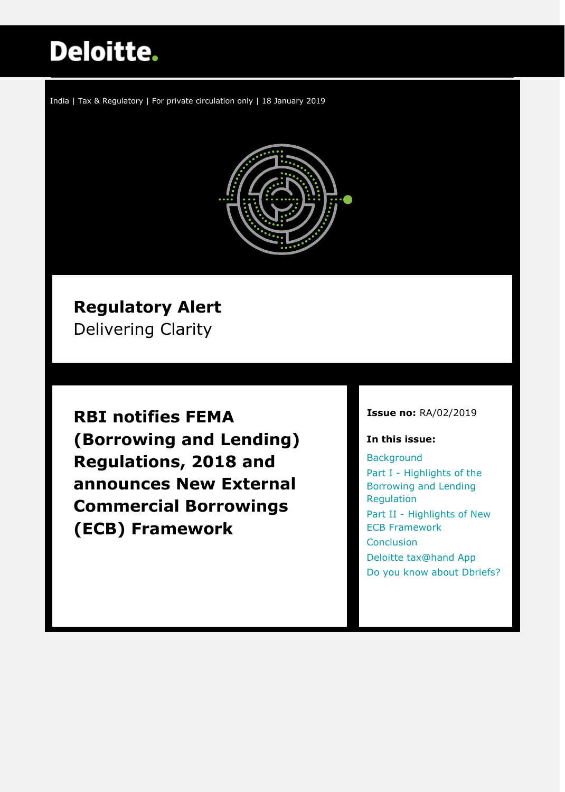# **Deloitte.**

India | Tax & Regulatory | For private circulation only | 18 January 2019



## **Regulatory Alert**

Delivering Clarity

**RBI notifies FEMA (Borrowing and Lending) Regulations, 2018 and announces New External Commercial Borrowings (ECB) Framework**

#### **Issue no:** RA/02/2019

#### **In this issue:**

**[Background](#page-1-0)** Part I - Highlights of the [Borrowing and Lending](#page-3-0)  [Regulation](#page-3-0) Part II - [Highlights of New](#page-3-0)  [ECB Framework](#page-3-0) **[Conclusion](#page-4-0)** [Deloitte tax@hand App](#page-5-0) [Do you know about Dbriefs?](#page-5-1)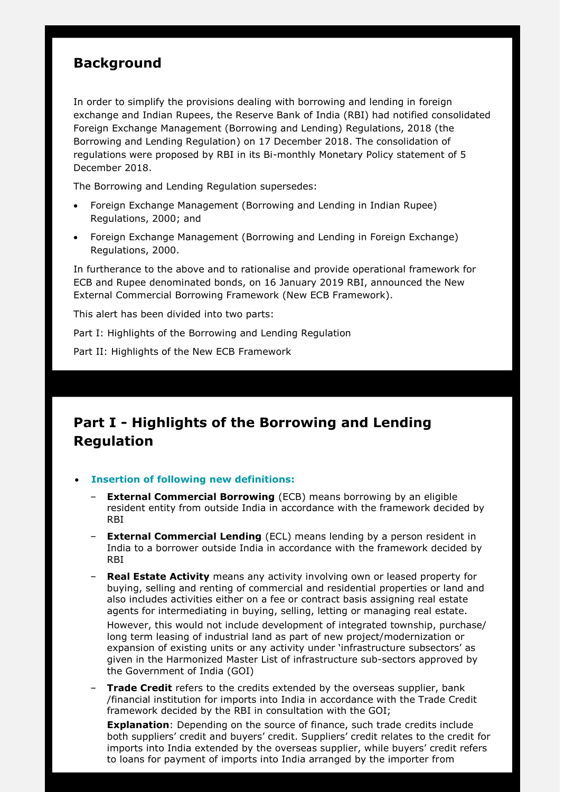## <span id="page-1-0"></span>**Background**

In order to simplify the provisions dealing with borrowing and lending in foreign exchange and Indian Rupees, the Reserve Bank of India (RBI) had notified consolidated Foreign Exchange Management (Borrowing and Lending) Regulations, 2018 (the Borrowing and Lending Regulation) on 17 December 2018. The consolidation of regulations were proposed by RBI in its Bi-monthly Monetary Policy statement of 5 December 2018.

The Borrowing and Lending Regulation supersedes:

- Foreign Exchange Management (Borrowing and Lending in Indian Rupee) Regulations, 2000; and
- Foreign Exchange Management (Borrowing and Lending in Foreign Exchange) Regulations, 2000.

In furtherance to the above and to rationalise and provide operational framework for ECB and Rupee denominated bonds, on 16 January 2019 RBI, announced the New External Commercial Borrowing Framework (New ECB Framework).

This alert has been divided into two parts:

Part I: Highlights of the Borrowing and Lending Regulation

Part II: Highlights of the New ECB Framework

## **Part I - Highlights of the Borrowing and Lending Regulation**

#### **Insertion of following new definitions:**

- **External Commercial Borrowing** (ECB) means borrowing by an eligible resident entity from outside India in accordance with the framework decided by RBI
- **External Commercial Lending** (ECL) means lending by a person resident in India to a borrower outside India in accordance with the framework decided by RBI
- **Real Estate Activity** means any activity involving own or leased property for buying, selling and renting of commercial and residential properties or land and also includes activities either on a fee or contract basis assigning real estate agents for intermediating in buying, selling, letting or managing real estate. However, this would not include development of integrated township, purchase/ long term leasing of industrial land as part of new project/modernization or expansion of existing units or any activity under 'infrastructure subsectors' as given in the Harmonized Master List of infrastructure sub-sectors approved by the Government of India (GOI)
- **Trade Credit** refers to the credits extended by the overseas supplier, bank /financial institution for imports into India in accordance with the Trade Credit framework decided by the RBI in consultation with the GOI;

**Explanation**: Depending on the source of finance, such trade credits include both suppliers' credit and buyers' credit. Suppliers' credit relates to the credit for imports into India extended by the overseas supplier, while buyers' credit refers to loans for payment of imports into India arranged by the importer from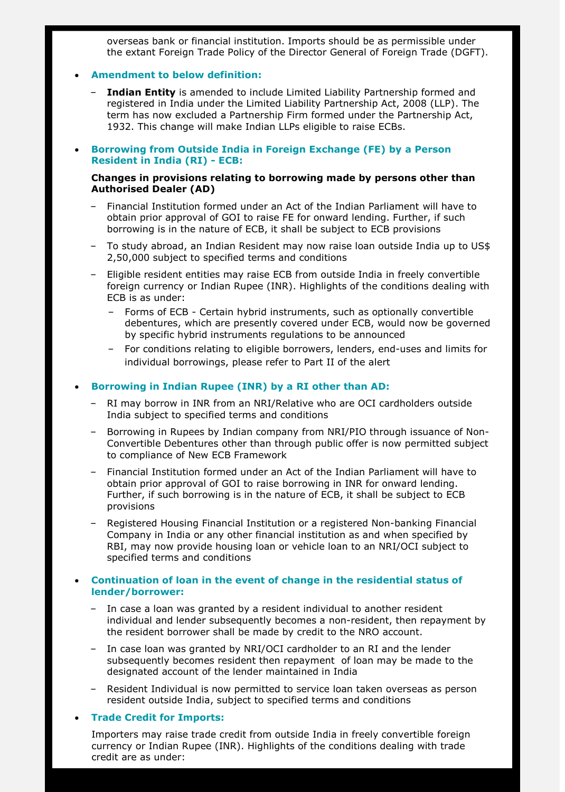overseas bank or financial institution. Imports should be as permissible under the extant Foreign Trade Policy of the Director General of Foreign Trade (DGFT).

#### **Amendment to below definition:**

- **Indian Entity** is amended to include Limited Liability Partnership formed and registered in India under the Limited Liability Partnership Act, 2008 (LLP). The term has now excluded a Partnership Firm formed under the Partnership Act, 1932. This change will make Indian LLPs eligible to raise ECBs.
- **Borrowing from Outside India in Foreign Exchange (FE) by a Person Resident in India (RI) - ECB:**

#### **Changes in provisions relating to borrowing made by persons other than Authorised Dealer (AD)**

- Financial Institution formed under an Act of the Indian Parliament will have to obtain prior approval of GOI to raise FE for onward lending. Further, if such borrowing is in the nature of ECB, it shall be subject to ECB provisions
- To study abroad, an Indian Resident may now raise loan outside India up to US\$ 2,50,000 subject to specified terms and conditions
- Eligible resident entities may raise ECB from outside India in freely convertible foreign currency or Indian Rupee (INR). Highlights of the conditions dealing with ECB is as under:
	- Forms of ECB Certain hybrid instruments, such as optionally convertible debentures, which are presently covered under ECB, would now be governed by specific hybrid instruments regulations to be announced
	- For conditions relating to eligible borrowers, lenders, end-uses and limits for individual borrowings, please refer to Part II of the alert

#### **Borrowing in Indian Rupee (INR) by a RI other than AD:**

- RI may borrow in INR from an NRI/Relative who are OCI cardholders outside India subject to specified terms and conditions
- Borrowing in Rupees by Indian company from NRI/PIO through issuance of Non-Convertible Debentures other than through public offer is now permitted subject to compliance of New ECB Framework
- Financial Institution formed under an Act of the Indian Parliament will have to obtain prior approval of GOI to raise borrowing in INR for onward lending. Further, if such borrowing is in the nature of ECB, it shall be subject to ECB provisions
- Registered Housing Financial Institution or a registered Non-banking Financial Company in India or any other financial institution as and when specified by RBI, may now provide housing loan or vehicle loan to an NRI/OCI subject to specified terms and conditions

#### **Continuation of loan in the event of change in the residential status of lender/borrower:**

- In case a loan was granted by a resident individual to another resident individual and lender subsequently becomes a non-resident, then repayment by the resident borrower shall be made by credit to the NRO account.
- In case loan was granted by NRI/OCI cardholder to an RI and the lender subsequently becomes resident then repayment of loan may be made to the designated account of the lender maintained in India
- Resident Individual is now permitted to service loan taken overseas as person resident outside India, subject to specified terms and conditions

#### **Trade Credit for Imports:**

Importers may raise trade credit from outside India in freely convertible foreign currency or Indian Rupee (INR). Highlights of the conditions dealing with trade credit are as under: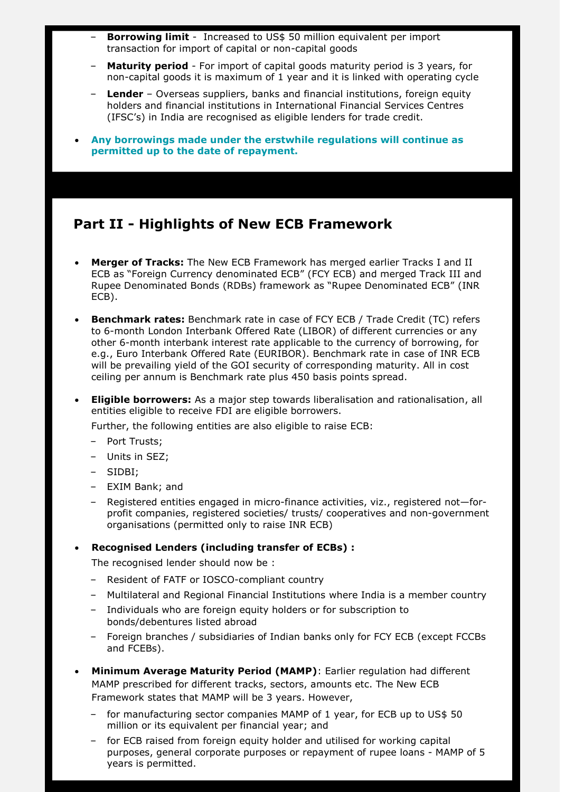- **Borrowing limit** Increased to US\$ 50 million equivalent per import transaction for import of capital or non-capital goods
- **Maturity period** For import of capital goods maturity period is 3 years, for non-capital goods it is maximum of 1 year and it is linked with operating cycle
- **Lender** Overseas suppliers, banks and financial institutions, foreign equity holders and financial institutions in International Financial Services Centres (IFSC's) in India are recognised as eligible lenders for trade credit.
- **Any borrowings made under the erstwhile regulations will continue as permitted up to the date of repayment.**

## <span id="page-3-0"></span>**Part II - Highlights of New ECB Framework**

- **Merger of Tracks:** The New ECB Framework has merged earlier Tracks I and II ECB as "Foreign Currency denominated ECB" (FCY ECB) and merged Track III and Rupee Denominated Bonds (RDBs) framework as "Rupee Denominated ECB" (INR ECB).
- **Benchmark rates:** Benchmark rate in case of FCY ECB / Trade Credit (TC) refers to 6-month London Interbank Offered Rate (LIBOR) of different currencies or any other 6-month interbank interest rate applicable to the currency of borrowing, for e.g., Euro Interbank Offered Rate (EURIBOR). Benchmark rate in case of INR ECB will be prevailing yield of the GOI security of corresponding maturity. All in cost ceiling per annum is Benchmark rate plus 450 basis points spread.
- **Eligible borrowers:** As a major step towards liberalisation and rationalisation, all entities eligible to receive FDI are eligible borrowers.

Further, the following entities are also eligible to raise ECB:

- Port Trusts;
- Units in SEZ;
- SIDBI;
- EXIM Bank; and
- Registered entities engaged in micro-finance activities, viz., registered not—forprofit companies, registered societies/ trusts/ cooperatives and non-government organisations (permitted only to raise INR ECB)

#### **Recognised Lenders (including transfer of ECBs) :**

The recognised lender should now be :

- Resident of FATF or IOSCO-compliant country
- Multilateral and Regional Financial Institutions where India is a member country
- Individuals who are foreign equity holders or for subscription to bonds/debentures listed abroad
- Foreign branches / subsidiaries of Indian banks only for FCY ECB (except FCCBs and FCEBs).
- **Minimum Average Maturity Period (MAMP)**: Earlier regulation had different MAMP prescribed for different tracks, sectors, amounts etc. The New ECB Framework states that MAMP will be 3 years. However,
	- for manufacturing sector companies MAMP of 1 year, for ECB up to US\$ 50 million or its equivalent per financial year; and
	- for ECB raised from foreign equity holder and utilised for working capital purposes, general corporate purposes or repayment of rupee loans - MAMP of 5 years is permitted.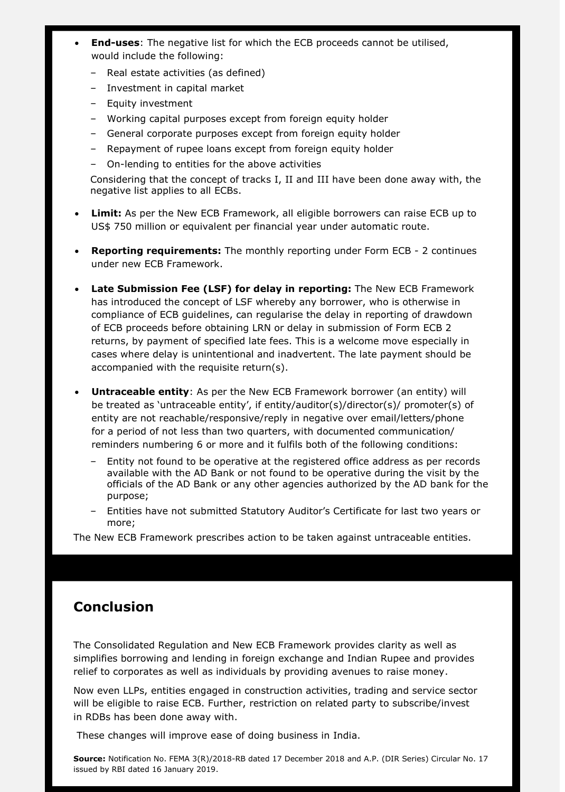- **End-uses**: The negative list for which the ECB proceeds cannot be utilised, would include the following:
	- Real estate activities (as defined)
	- Investment in capital market
	- Equity investment
	- Working capital purposes except from foreign equity holder
	- General corporate purposes except from foreign equity holder
	- Repayment of rupee loans except from foreign equity holder
	- On-lending to entities for the above activities

Considering that the concept of tracks I, II and III have been done away with, the negative list applies to all ECBs.

- **Limit:** As per the New ECB Framework, all eligible borrowers can raise ECB up to US\$ 750 million or equivalent per financial year under automatic route.
- **Reporting requirements:** The monthly reporting under Form ECB 2 continues under new ECB Framework.
- **Late Submission Fee (LSF) for delay in reporting:** The New ECB Framework has introduced the concept of LSF whereby any borrower, who is otherwise in compliance of ECB guidelines, can regularise the delay in reporting of drawdown of ECB proceeds before obtaining LRN or delay in submission of Form ECB 2 returns, by payment of specified late fees. This is a welcome move especially in cases where delay is unintentional and inadvertent. The late payment should be accompanied with the requisite return(s).
- **Untraceable entity**: As per the New ECB Framework borrower (an entity) will be treated as 'untraceable entity', if entity/auditor(s)/director(s)/ promoter(s) of entity are not reachable/responsive/reply in negative over email/letters/phone for a period of not less than two quarters, with documented communication/ reminders numbering 6 or more and it fulfils both of the following conditions:
	- Entity not found to be operative at the registered office address as per records available with the AD Bank or not found to be operative during the visit by the officials of the AD Bank or any other agencies authorized by the AD bank for the purpose;
	- Entities have not submitted Statutory Auditor's Certificate for last two years or more;

The New ECB Framework prescribes action to be taken against untraceable entities.

## <span id="page-4-0"></span>**Conclusion**

The Consolidated Regulation and New ECB Framework provides clarity as well as simplifies borrowing and lending in foreign exchange and Indian Rupee and provides relief to corporates as well as individuals by providing avenues to raise money.

Now even LLPs, entities engaged in construction activities, trading and service sector will be eligible to raise ECB. Further, restriction on related party to subscribe/invest in RDBs has been done away with.

These changes will improve ease of doing business in India.

**Source:** Notification No. FEMA 3(R)/2018-RB dated 17 December 2018 and A.P. (DIR Series) Circular No. 17 issued by RBI dated 16 January 2019.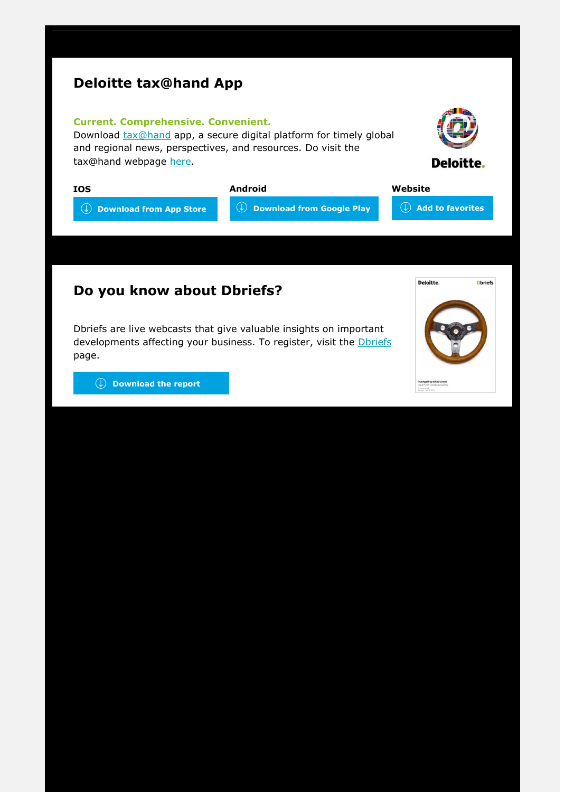## <span id="page-5-0"></span>**Deloitte tax@hand App**

#### **Current. Comprehensive. Convenient.**

Download **[tax@hand](https://www2.deloitte.com/au/en/pages/tax/articles/deloitte-tax-at-hand-mobile-app.html)** app, a secure digital platform for timely global and regional news, perspectives, and resources. Do visit the tax@hand webpage [here.](https://www.taxathand.com/)



| <b>IOS</b>                     | Android                               | Website                                          |
|--------------------------------|---------------------------------------|--------------------------------------------------|
| $\Box$ Download from App Store | $\mathbb Q$ Download from Google Play | $\Box$ Add to favorites $\overline{\phantom{a}}$ |

## <span id="page-5-1"></span>**Do you know about Dbriefs?**

Dbriefs are live webcasts that give valuable insights on important developments affecting your business. To register, visit the *Dbriefs* page.



 **[Download the report](http://www.dbriefsap.com/2019/Q12019DbriefsAPGuide.pdf)**

**[hand/id595362502?id=DTAH](https://itunes.apple.com/us/app/tax-hand/id595362502?id=DTAH_EX_Dcom_MP2)**